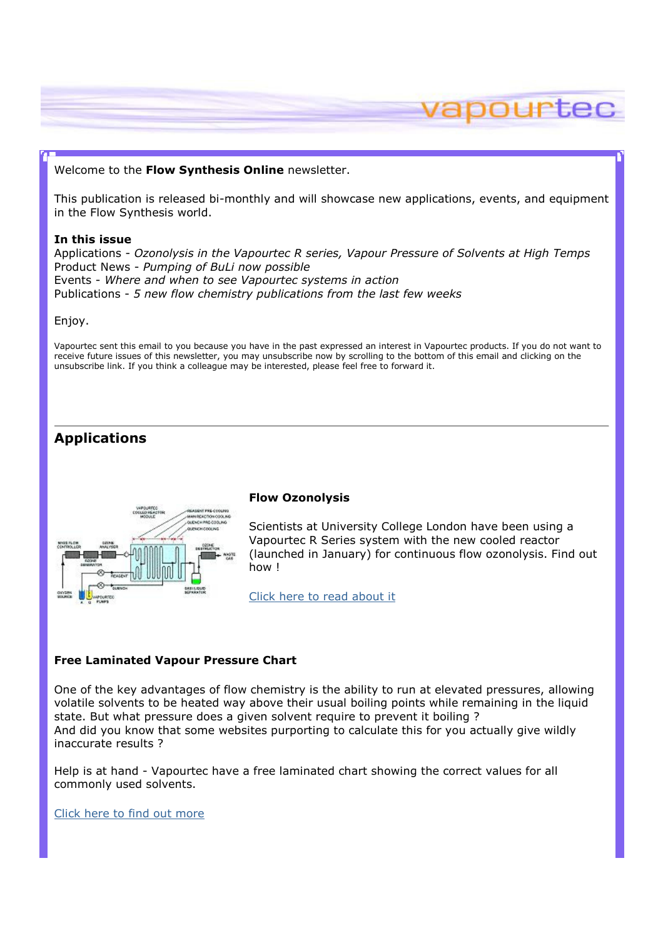# vapourtec

## Welcome to the Flow Synthesis Online newsletter.

This publication is released bi-monthly and will showcase new applications, events, and equipment in the Flow Synthesis world.

## In this issue

Applications - Ozonolysis in the Vapourtec R series, Vapour Pressure of Solvents at High Temps Product News - Pumping of BuLi now possible Events - Where and when to see Vapourtec systems in action Publications - 5 new flow chemistry publications from the last few weeks

#### Enjoy.

Vapourtec sent this email to you because you have in the past expressed an interest in Vapourtec products. If you do not want to receive future issues of this newsletter, you may unsubscribe now by scrolling to the bottom of this email and clicking on the unsubscribe link. If you think a colleague may be interested, please feel free to forward it.

# Applications



#### Flow Ozonolysis

Scientists at University College London have been using a Vapourtec R Series system with the new cooled reactor (launched in January) for continuous flow ozonolysis. Find out how !

Click here to read about it

#### Free Laminated Vapour Pressure Chart

One of the key advantages of flow chemistry is the ability to run at elevated pressures, allowing volatile solvents to be heated way above their usual boiling points while remaining in the liquid state. But what pressure does a given solvent require to prevent it boiling ? And did you know that some websites purporting to calculate this for you actually give wildly inaccurate results ?

Help is at hand - Vapourtec have a free laminated chart showing the correct values for all commonly used solvents.

Click here to find out more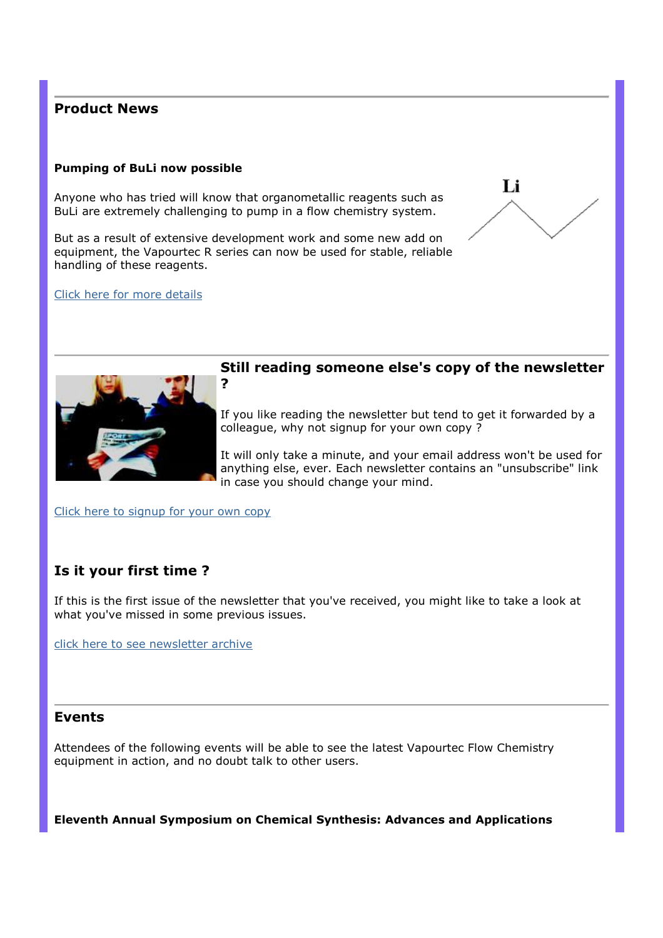# Product News

# Pumping of BuLi now possible

Anyone who has tried will know that organometallic reagents such as BuLi are extremely challenging to pump in a flow chemistry system.

But as a result of extensive development work and some new add on equipment, the Vapourtec R series can now be used for stable, reliable handling of these reagents.

#### Click here for more details





## Still reading someone else's copy of the newsletter ?

If you like reading the newsletter but tend to get it forwarded by a colleague, why not signup for your own copy ?

It will only take a minute, and your email address won't be used for anything else, ever. Each newsletter contains an "unsubscribe" link in case you should change your mind.

Click here to signup for your own copy

# Is it your first time ?

If this is the first issue of the newsletter that you've received, you might like to take a look at what you've missed in some previous issues.

click here to see newsletter archive

# Events

Attendees of the following events will be able to see the latest Vapourtec Flow Chemistry equipment in action, and no doubt talk to other users.

Eleventh Annual Symposium on Chemical Synthesis: Advances and Applications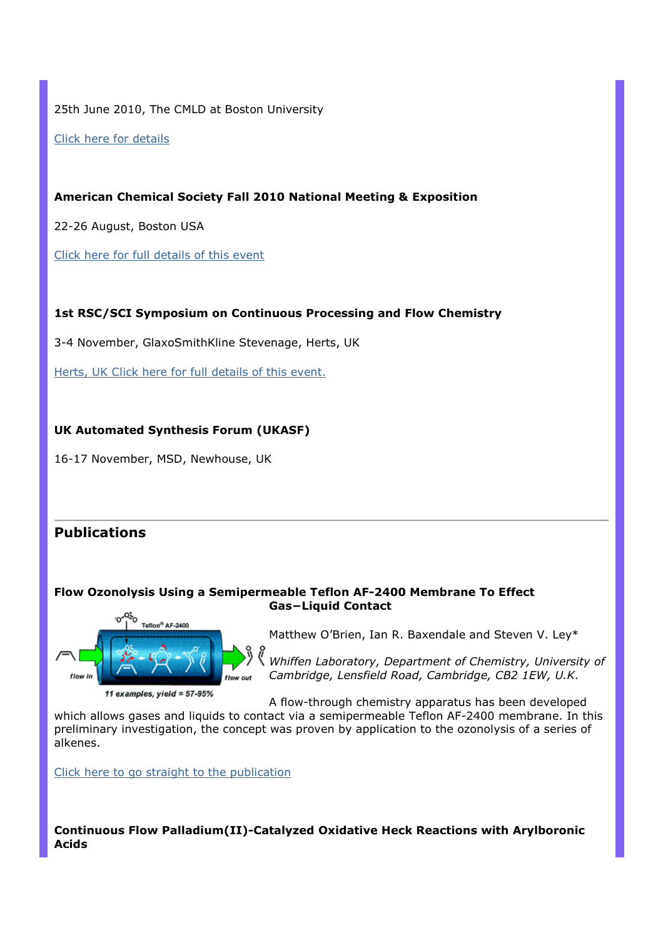25th June 2010, The CMLD at Boston University

Click here for details

American Chemical Society Fall 2010 National Meeting & Exposition

22-26 August, Boston USA

Click here for full details of this event

## 1st RSC/SCI Symposium on Continuous Processing and Flow Chemistry

3-4 November, GlaxoSmithKline Stevenage, Herts, UK

Herts, UK Click here for full details of this event.

## UK Automated Synthesis Forum (UKASF)

16-17 November, MSD, Newhouse, UK

# **Publications**

#### Flow Ozonolysis Using a Semipermeable Teflon AF-2400 Membrane To Effect Gas−Liquid Contact



Matthew O'Brien, Ian R. Baxendale and Steven V. Ley\*

Whiffen Laboratory, Department of Chemistry, University of Cambridge, Lensfield Road, Cambridge, CB2 1EW, U.K.

A flow-through chemistry apparatus has been developed

which allows gases and liquids to contact via a semipermeable Teflon AF-2400 membrane. In this preliminary investigation, the concept was proven by application to the ozonolysis of a series of alkenes.

Click here to go straight to the publication

Continuous Flow Palladium(II)-Catalyzed Oxidative Heck Reactions with Arylboronic Acids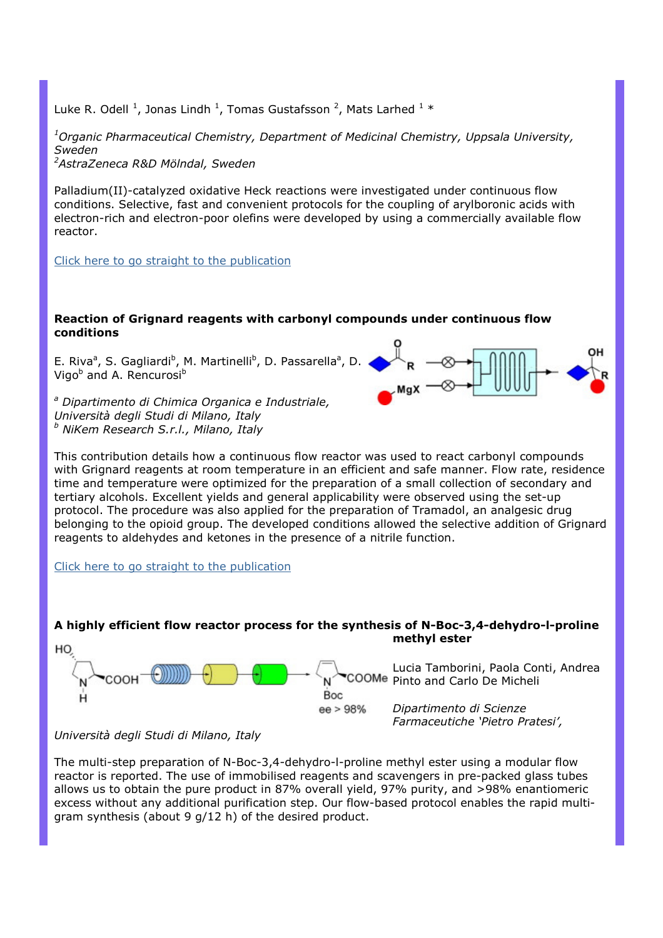Luke R. Odell  $^1$ , Jonas Lindh  $^1$ , Tomas Gustafsson  $^2$ , Mats Larhed  $^1$  \*

 $1$ Organic Pharmaceutical Chemistry, Department of Medicinal Chemistry, Uppsala University, Sweden

<sup>2</sup>AstraZeneca R&D Mölndal, Sweden

Palladium(II)-catalyzed oxidative Heck reactions were investigated under continuous flow conditions. Selective, fast and convenient protocols for the coupling of arylboronic acids with electron-rich and electron-poor olefins were developed by using a commercially available flow reactor.

Click here to go straight to the publication

## Reaction of Grignard reagents with carbonyl compounds under continuous flow conditions

E. Riva<sup>a</sup>, S. Gagliardi<sup>b</sup>, M. Martinelli<sup>b</sup>, D. Passarella<sup>a</sup>, D. Vigo<sup>b</sup> and A. Rencurosi<sup>b</sup>

<sup>a</sup> Dipartimento di Chimica Organica e Industriale, Università degli Studi di Milano, Italy <sup>b</sup> NiKem Research S.r.l., Milano, Italy



This contribution details how a continuous flow reactor was used to react carbonyl compounds with Grignard reagents at room temperature in an efficient and safe manner. Flow rate, residence time and temperature were optimized for the preparation of a small collection of secondary and tertiary alcohols. Excellent yields and general applicability were observed using the set-up protocol. The procedure was also applied for the preparation of Tramadol, an analgesic drug belonging to the opioid group. The developed conditions allowed the selective addition of Grignard reagents to aldehydes and ketones in the presence of a nitrile function.

Click here to go straight to the publication

# A highly efficient flow reactor process for the synthesis of N-Boc-3,4-dehydro-l-proline methyl ester



Lucia Tamborini, Paola Conti, Andrea COOMe Pinto and Carlo De Micheli

> Dipartimento di Scienze Farmaceutiche 'Pietro Pratesi',

# Università degli Studi di Milano, Italy

The multi-step preparation of N-Boc-3,4-dehydro-l-proline methyl ester using a modular flow reactor is reported. The use of immobilised reagents and scavengers in pre-packed glass tubes allows us to obtain the pure product in 87% overall yield, 97% purity, and >98% enantiomeric excess without any additional purification step. Our flow-based protocol enables the rapid multigram synthesis (about 9 g/12 h) of the desired product.